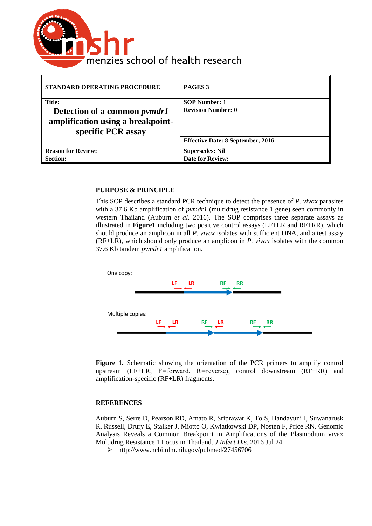

| STANDARD OPERATING PROCEDURE                                                                   | PAGES <sub>3</sub>                       |
|------------------------------------------------------------------------------------------------|------------------------------------------|
| <b>Title:</b>                                                                                  | <b>SOP Number: 1</b>                     |
| Detection of a common <i>pymdr1</i><br>amplification using a breakpoint-<br>specific PCR assay | <b>Revision Number: 0</b>                |
|                                                                                                | <b>Effective Date: 8 September, 2016</b> |
| <b>Reason for Review:</b>                                                                      | <b>Supersedes: Nil</b>                   |
| <b>Section:</b>                                                                                | <b>Date for Review:</b>                  |

#### **PURPOSE & PRINCIPLE**

This SOP describes a standard PCR technique to detect the presence of *P. vivax* parasites with a 37.6 Kb amplification of *pvmdr1* (multidrug resistance 1 gene) seen commonly in western Thailand (Auburn *et al*. 2016). The SOP comprises three separate assays as illustrated in **Figure1** including two positive control assays (LF+LR and RF+RR), which should produce an amplicon in all *P. vivax* isolates with sufficient DNA, and a test assay (RF+LR), which should only produce an amplicon in *P. vivax* isolates with the common 37.6 Kb tandem *pvmdr1* amplification.



**Figure 1.** Schematic showing the orientation of the PCR primers to amplify control upstream (LF+LR; F=forward, R=reverse), control downstream (RF+RR) and amplification-specific (RF+LR) fragments.

#### **REFERENCES**

Auburn S, Serre D, Pearson RD, Amato R, Sriprawat K, To S, Handayuni I, Suwanarusk R, Russell, Drury E, Stalker J, Miotto O, Kwiatkowski DP, Nosten F, Price RN. Genomic Analysis Reveals a Common Breakpoint in Amplifications of the Plasmodium vivax Multidrug Resistance 1 Locus in Thailand. *J Infect Dis*. 2016 Jul 24.

http://www.ncbi.nlm.nih.gov/pubmed/27456706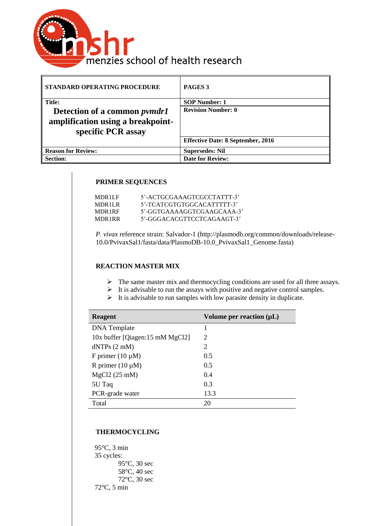

| STANDARD OPERATING PROCEDURE                                                                   | PAGES <sub>3</sub>                       |
|------------------------------------------------------------------------------------------------|------------------------------------------|
| <b>Title:</b>                                                                                  | <b>SOP Number: 1</b>                     |
| Detection of a common <i>pymdr1</i><br>amplification using a breakpoint-<br>specific PCR assay | <b>Revision Number: 0</b>                |
|                                                                                                | <b>Effective Date: 8 September, 2016</b> |
| <b>Reason for Review:</b>                                                                      | <b>Supersedes: Nil</b>                   |
| <b>Section:</b>                                                                                | <b>Date for Review:</b>                  |

### **PRIMER SEQUENCES**

| MDR1LF | 5'-ACTGCGAAAGTCGCCTATTT-3' |
|--------|----------------------------|
| MDR1LR | 5'-TCATCGTGTGGCACATTTTT-3' |
| MDR1RF | 5'-GGTGAAAAGGTCGAAGCAAA-3' |
| MDR1RR | 5'-GGGACACGTTCCTCAGAAGT-3' |
|        |                            |

*P. vivax* reference strain: Salvador-1 (http://plasmodb.org/common/downloads/release-10.0/PvivaxSal1/fasta/data/PlasmoDB-10.0\_PvivaxSal1\_Genome.fasta)

### **REACTION MASTER MIX**

- $\triangleright$  The same master mix and thermocycling conditions are used for all three assays.
- $\triangleright$  It is advisable to run the assays with positive and negative control samples.
- $\triangleright$  It is advisable to run samples with low parasite density in duplicate.

| <b>Reagent</b>                  | Volume per reaction $(\mu L)$ |
|---------------------------------|-------------------------------|
| <b>DNA</b> Template             | 1                             |
| 10x buffer [Qiagen:15 mM MgCl2] | 2                             |
| dNTPs (2 mM)                    | $\overline{c}$                |
| F primer $(10 \mu M)$           | 0.5                           |
| R primer $(10 \mu M)$           | 0.5                           |
| $MgCl2(25$ mM)                  | 0.4                           |
| 5U Taq                          | 0.3                           |
| PCR-grade water                 | 13.3                          |
| Total                           | 20                            |

## **THERMOCYCLING**

95°C, 3 min 35 cycles: 95°C, 30 sec 58°C, 40 sec 72°C, 30 sec 72°C, 5 min